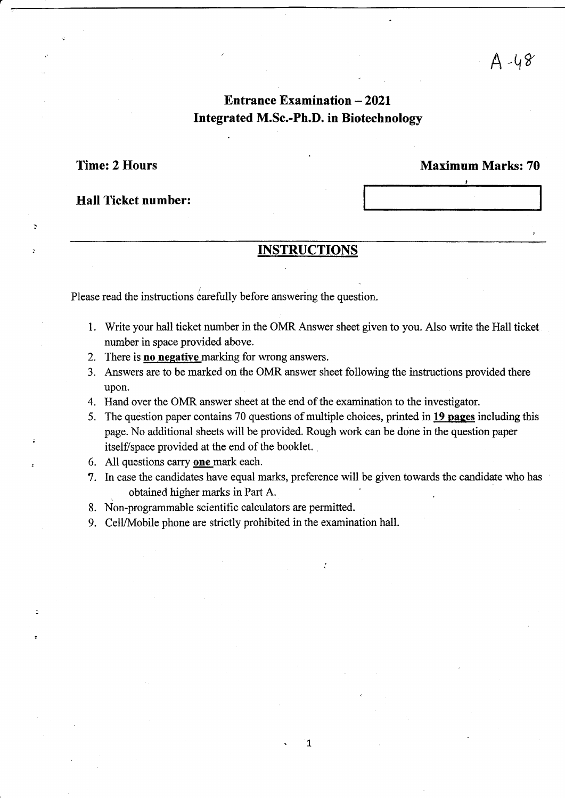## **Entrance Examination - 2021** Integrated M.Sc.-Ph.D. in Biotechnology

Time: 2 Hours

 $\overline{z}$ 

þ

### Maximum Marks: 70

I

Hall Ticket number:

## **INSTRUCTIONS**

Please read the instructions carefully before answering the question.

- 1. Write your hall ticket number in the OMR Answer sheet given to you. Also write the Hall ticket number in space provided above.
- 2. There is **no negative** marking for wrong answers.
- 3. Answers are to be marked on the OMR answer sheet following the instructions provided there upon.
- 4. Hand over the OMR answer sheet at the end of the examination to the investigator.
- 5. The question paper contains 70 questions of multiple choices, printed in 19 pages including this page. No additional sheets will be provided. Rough work can be done in the question paper itself/space provided at the end of the booklet. .
- 6. All questions carry one mark each.
- '7. In case the candidates have equal marks, preference will be given towards the candidate who has obtained higher marks in Part A.
- 8. Non-programmable scientific calculators are permitted.
- 9. CelVMobile phone are strictly prohibited in the examination hall.

 $\mathbf{1}$ 

.1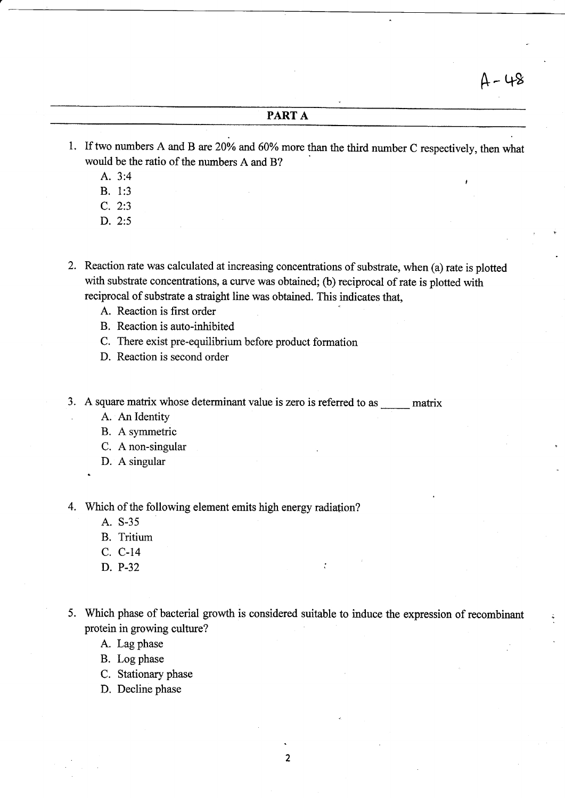### PART A

- 1. If two numbers A and B are 20% and 60% more than the third number C respectively, then what would be the ratio of the numbers A and B? A. 3:4
	-
	- B. 1:3
	- C. 2:3
	- D. 2:5
- 2. Reaction rate was calculated at increasing concentrations of substrate, when (a) rate is plotted with substrate concentrations, a curve was obtained; (b) reciprocal of rate is plotted with reciprocal of substrate a straight line was obtained. This indicates that,
	- A. Reaction is first order
	- B. Reaction is auto-inhibited
	- C. There exist pre-equilibrium before product formation
	- D. Reaction is second order
- 3. A square matrix whose determinant value is zero is referred to as  $\frac{1}{\sqrt{2\pi}}$  matrix
	- A. An Identity
	- B. A symmetric
	- C. A non-singular
	- D. A singular
	-

4. Which of the following element emits high energy radiation?

- A. S-35
- B. Tritium
- C. C-14
- D. P-32
- 5. Which phase of bacterial growth is considered suitable to induce the expression of recombinant ; protein in growing culture?
	- A. Lag phase
	- B. Log phase
	- C. Stationary phase
	- D. Decline phase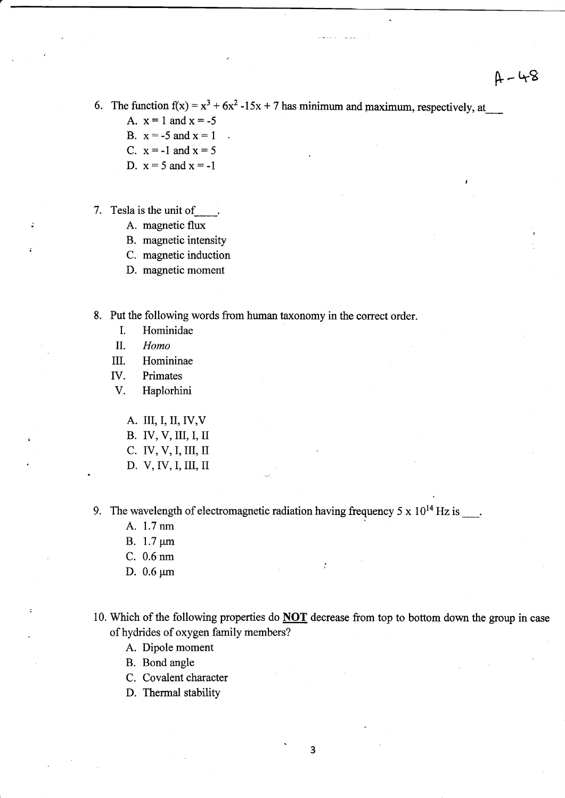6. The function  $f(x) = x^3 + 6x^2 -15x + 7$  has minimum and maximum, respectively, at

- A.  $x = 1$  and  $x = -5$
- B.  $x = -5$  and  $x = 1$
- C.  $x=-1$  and  $x=5$
- D.  $x = 5$  and  $x = -1$
- 7. Tesla is the unit of
	- A. magnetic flux
	- B. magnetic intensity
	- C. magnetic induction
	- D. magnetic moment
- 8. Put the following words from human taxonomy in the correct order.
	- I. Hominidae
	- II. Homo
	- III. Homininae
	- IV. Primates
	- V. Haplorhini
		- A. III, I,II,IV,V
		- B. IV, V, ilI, I, II
		- c. IV, V, I,III, II
		- D. V, IV, I, III, II

9. The wavelength of electromagnetic radiation having frequency  $5 \times 10^{14}$  Hz is  $\ldots$ .

- A. 1.7 nm
- B.  $1.7 \mu m$
- C. 0.6 nm
- D.  $0.6 \mu m$
- 10. Which of the following properties do NOT decrease from top to bottom down the group in case of hydrides of oxygen family members?

 $\ddot{\cdot}$ 

- A. Dipole moment
- B. Bond angle
- C. Covalent character
- D. Thermal stability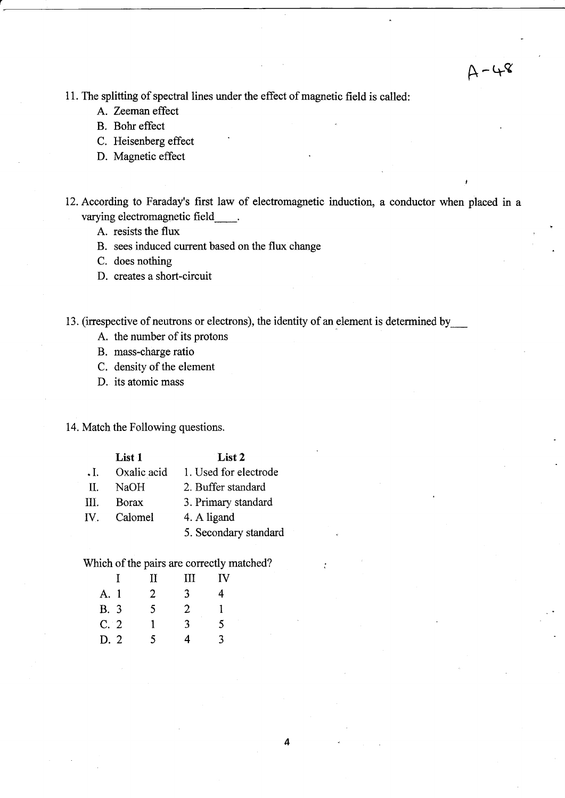11. The splitting of spectral lines under the effect of magnetic field is called:

- A. Zeeman effect
- B. Bohr effect
- C. Heisenberg effect
- D. Magnetic effect

12. According to Faraday's first law of electromagnetic induction, a conductor when placed in <sup>a</sup> varying electromagnetic field  $\mathbb{R}^2$ 

 $A - 48$ 

- A. resists the flux
- B. sees induced current based on the flux change

C. does nothing

D. creates a short-circuit

13. (irrespective of neutrons or electrons), the identity of an element is determined by

- A. the number of its protons
- B. mass-charge ratio
- C. density of the element
- D. its atomic mass

14. Match the Foilowing questions.

|            | List 1       | List 2                |
|------------|--------------|-----------------------|
| $\cdot$ I. | Oxalic acid  | 1. Used for electrode |
| H.         | NaOH         | 2. Buffer standard    |
| Ш.         | <b>Borax</b> | 3. Primary standard   |
| IV.        | Calomel      | 4. A ligand           |
|            |              | 5. Secondary standard |

Which of the pairs are correctly matched?

|      | H              | Ш | IV |
|------|----------------|---|----|
| A. 1 | $\overline{2}$ | 3 | 4  |
| B. 3 | 5              | 2 | 1  |
| C.2  | 1              | 3 | 5  |
| D.2  | 5              | 4 | 3  |
|      |                |   |    |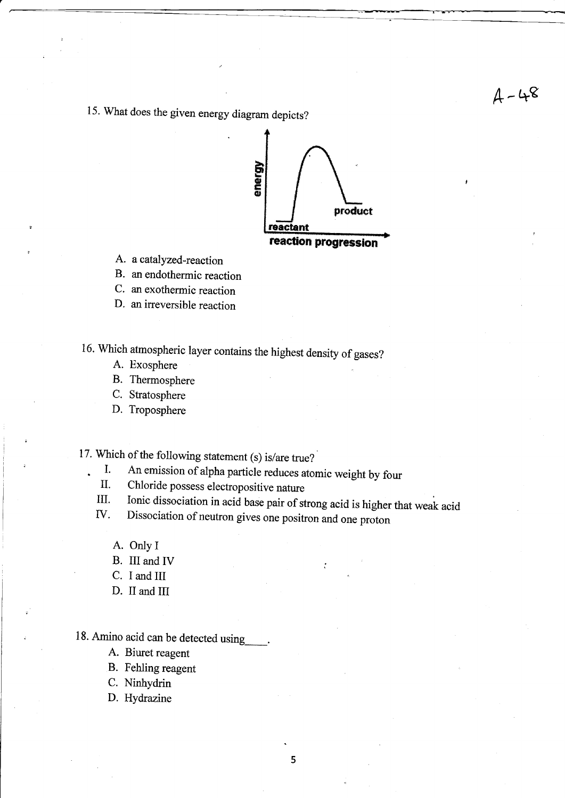# $4 - 48$

15. What does the given energy diagram depicts?



- A. a catalyzed-reaction
- B. an endothermic reaction
- C. an exothermic reaction
- D. an irreversible reaction

16. which atmospheric layer contains the highest density of gases?

- A. Exosphere
- B. Thermosphere
- C. Stratosphere
- D. Troposphere

- 17. Which of the following statement (s) is/are true?<br>
1. An emission of alpha particle reduces atomic weight by four
	-
	- II. Chloride possess electropositive nature<br>III. Ionic dissociation in acid base pair of strong acid is higher that weak acid<br>IV. Dissociation of neutron gives one positron and one proton
	- - A. Only I

.

- B. III and IV
- C. I and III
- D. II and III

## 18. Amino acid can be detected using\_.

- A. Biuret reagent
- B. Fehling reagent
- C. Ninhydrin
- D. Hydrazine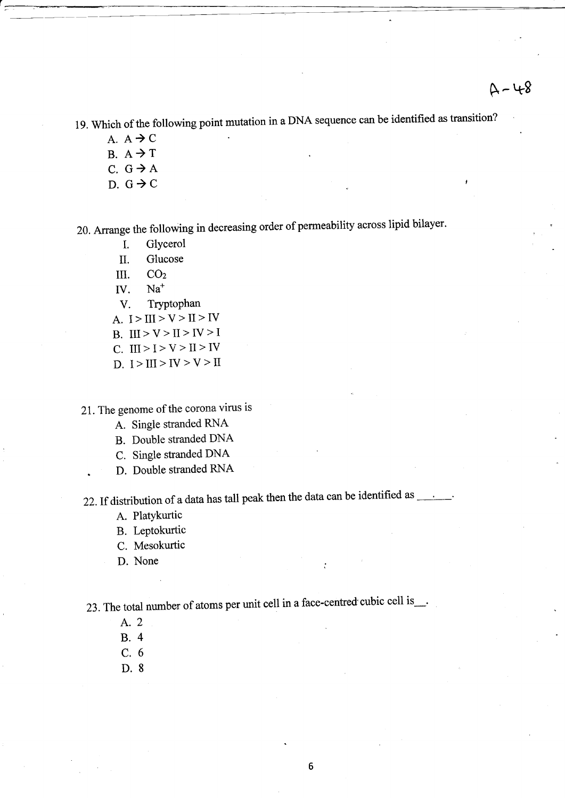1g. which of the following point mutation in a DNA sequence can be identified as transition?

- A.  $A \rightarrow C$  $B. A \rightarrow T$ C.  $G \rightarrow A$
- D.  $G \rightarrow C$

20. Arrange the following in decreasing order of permeability across lipid bilayer.

- I. GlYcerol
- II. Glucose
- m. COz
- W. Na\*
- V. Tryptophan
- A.  $I > III > V > II > IV$
- B. III > V > II > IV > I
- C. III > I > V > II > IV
- D.  $I > III > IV > V > II$

21. The genome of the corona virus is

- A. Single stranded RNA
- B. Double stranded DNA
- C. Single stranded DNA
- D. Double stranded RNA

22. If distribution of a data has tall peak then the data can be identified as  $\frac{1}{\sqrt{2}}$ .

- A. Platykurtic
- B. Leptokurtic
- C. Mesokurtic
- D. None

23. The total number of atoms per unit cell in a face-centred cubic cell is....

- A.2
- 8.4
- c.6
- D.8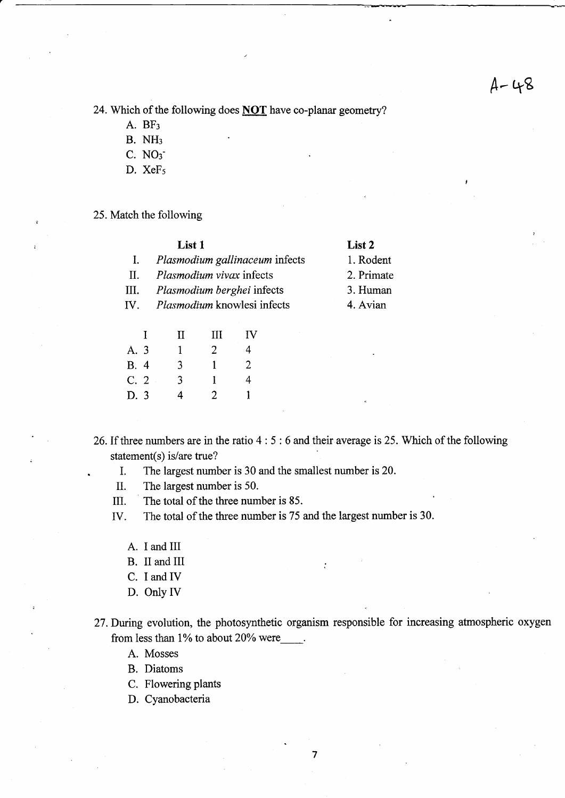I

24. Which of the following does NOT have co-planar geometry?

- A. BF:
- B. NH:
- C. NOs'
- D. XeFs
- 25. Match the following

|     | List 1                             | List 2     |
|-----|------------------------------------|------------|
|     | Plasmodium gallinaceum infects     | 1. Rodent  |
| П.  | Plasmodium vivax infects           | 2. Primate |
| Ш.  | <i>Plasmodium berghei</i> infects  | 3. Human   |
| IV. | <i>Plasmodium</i> knowlesi infects | 4. Avian   |
|     |                                    |            |

|      | T | и | Ш | IV |
|------|---|---|---|----|
| A. 3 |   | L | 2 | 4  |
| B. 4 |   | 3 | 1 | 2  |
| C.2  |   | 3 | 1 | 4  |
| D. 3 |   | 4 | 2 |    |

26. If three numbers are in the ratio 4 : 5 :6 and their average is 25. Which of the following statement(s) is/are true?

. I. The largest number is 30 and the smallest number is 20.

II. The largest number is 50.

III. The total of the three number is 85.

IV. The total of the three number is 75 and the largest number is 30.

- A. I and III
- B. II and III
- C. I and IV
- D. Only IV

27. During evolution, the photosynthetic organism responsible for increasing atmospheric oxygen from less than  $1\%$  to about  $20\%$  were

A. Mosses

- B. Diatoms
- C. Flowering plants
- D. Cyanobacteria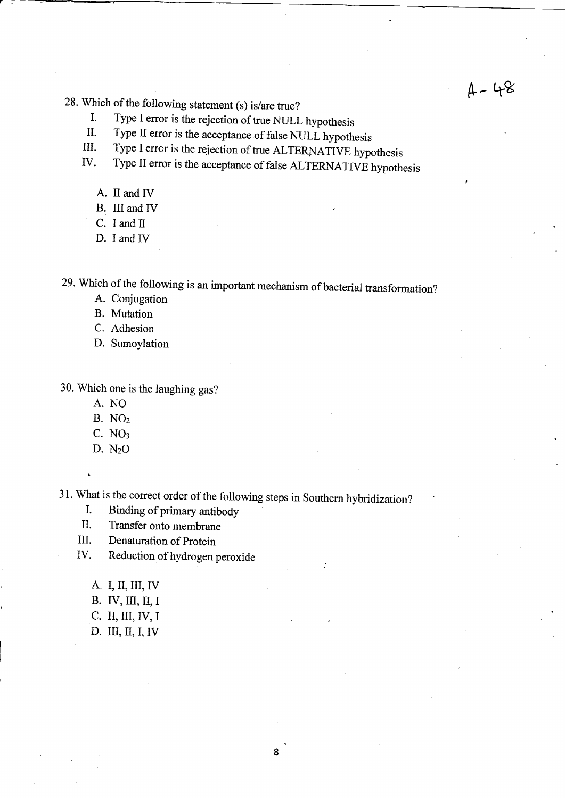- 
- 28. Which of the following statement (s) is/are true?<br>
I. Type I error is the rejection of true NULL hypothesis<br>
II. Type II error is the rejection of true AI TERNATIVE hypothesis<br>
III. Type I error is the rejection of tru
	- III. Type I error is the rejection of true ALTERNATIVE hypothesis IV. Type II error is the accentance of false AI TERNATIVE hypothesis
	- Type II error is the acceptance of false ALTERNATIVE hypothesis

- A. II and IV
- B. III and IV
- C. I and II
- D. I and IV

29. Which of the following is an important mechanism of bacterial transformation?

- A. Conjugation
- B. Mutation
- C. Adhesion
- D. Sumoylation

30. Which one is the laughing gas?

- A. NO
- B. NOz
- $C. NO<sub>3</sub>$
- D. NzO

31. What is the correct order of the following steps in Southern hybridization?<br>I. Binding of primary antibody

- 
- II. Transfer onto membrane
- III. Denaturation of Protein
- IV. Reduction of hydrogen peroxide
	- A. I, II, III, IV
	- B. IV, III, II, I
	- c. II, III,IV,I
	- D. III, II, I, fV

,.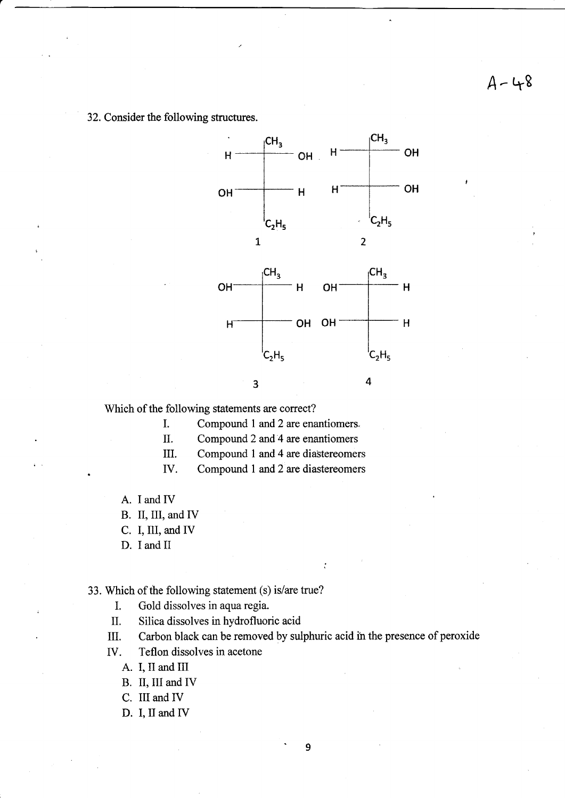32. Consider the following structures.



Which of the following statements are correct?

I. Compound 1 and 2 are enantiomers.

II. Compound 2 and 4 are enantiomers

III. Compound 1 and 4 are diastereomers

IV. Compound 1 and 2 are diastereomers

A. I and IV

B. II, III, and IV

C. I, III, and IV

D. I and II

33. Which of ihe following statement (s) is/are true?

L Gold dissolves in aqua regia.

II. Silica dissolves in hydrofluoric acid

III. Carbon black can be removed by sulphuric acid in the presence of peroxide

IV. Teflon dissolves in acetone

A. I, il and III

B. II, III and IV

C. III and IV

D. I, II and IV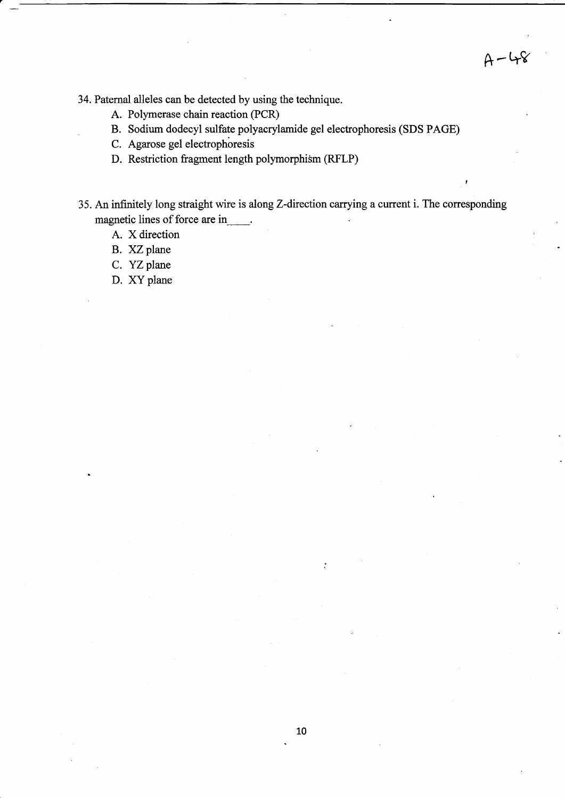$A-48$ 

I

34. Paternal alleles can be detected by using the technique.

- A. Polymerase chain reaction (PCR)
- B. Sodium dodecyl sulfate polyacrylamide gel electrophoresis (SDS PAGE)
- C. Agarose gel electrophoresis
- D. Restriction fragment length polymorphism (RFLP)
- 35. An infinitely long straight wire is along Z-direction carrying a current i. The corresponding magnetic lines of force are in \_\_\_\_.
	- A. X direction
	- B. XZ plane
	- C. YZ plane
	- D. XY plane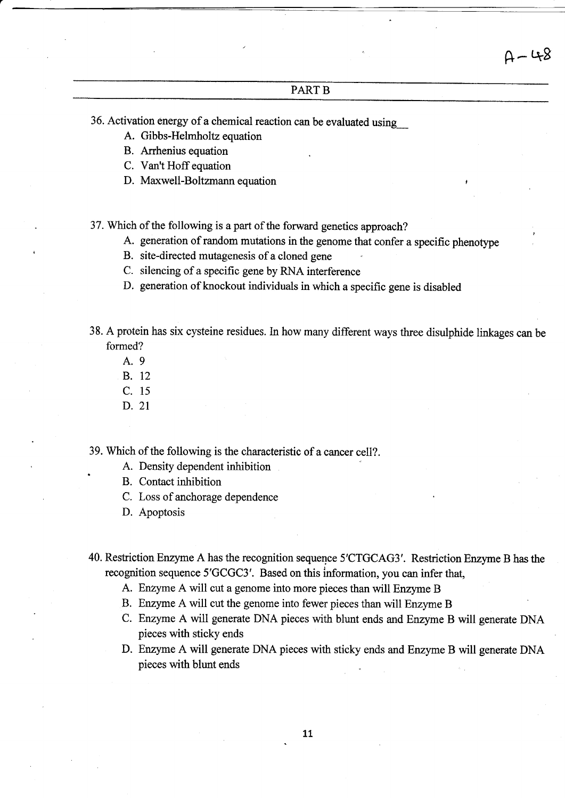### PART B

36. Activation energy of a chemical reaction can be evaluated using\_

- A. Gibbs-Helmholtz equation
- B. Arrhenius equation
- C. Van't Hoff equation
- D. Maxwell-Boltzmann equation

37. Which of the following is a part of the forward genetics approach?

- A. generation of random mutations in the genome that confer a specific phenotype
- B. site-directed mutagenesis of a cloned gene
- C. silencing of a specific gene by RNA interference
- D. generation of knockout individuals in which a specific gene is disabled
- 38. A protein has six cysteine residues. In how many different ways three disulphide linkages can be formed?
	- A.9
	- B. <sup>12</sup>
	- c. <sup>15</sup>
	- D. 2T

.

39. Which of the following is the characteristic of a cancer cell?.

- A. Density dependent inhibition
- B. Contact inhibition
- C. Loss of anchorage dependence
- D. Apoptosis
- 40. Restriction Enzyme A has the recognition sequence 5'CTGCAG3'. Restriction Enzyme B has the recognition sequence 5'GCGC3'. Based on this information, you can infer that,
	- A. Enzyme A will cut a genome into more pieces than will Enzyme B
	- B. Enzyme A will cut the genome into fewer pieces than will Enzyme B
	- C. Enzyme A will generate DNA pieces with blunt ends and Enzyme B will generate DNA pieces with sticky ends
	- D. Enzyme A will generate DNA pieces with sticky ends and Enzyme B will generate DNA pieces with blunt ends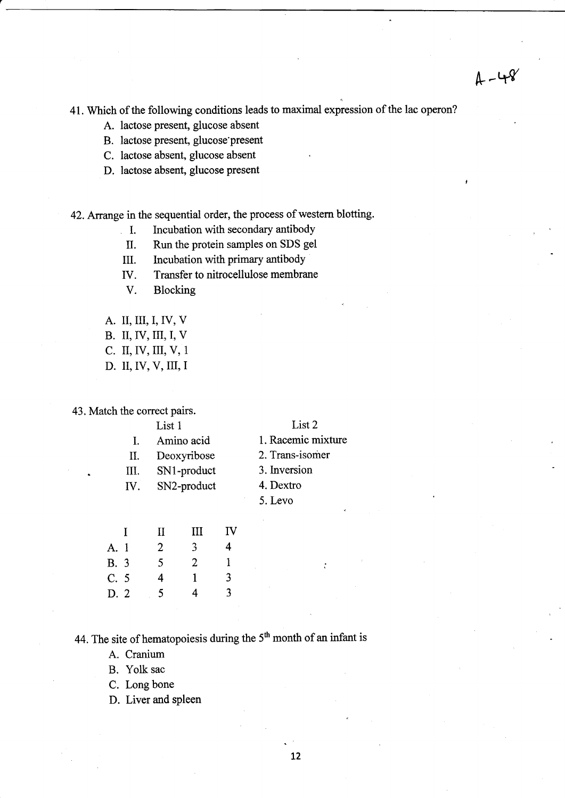41. Which of the following conditions leads to maximal expression of the lac operon?

- A. lactose present, glucose absent
- B. lactose present, glucose'present
- C. lactose absent, glucose absent
- D. lactose absent, glucose present

### 42. Arrange in the sequential order, the process of western blotting.

- I. Incubation with secondary antibody
- II. Run the protein samples on SDS gel
- III. Incubation with primary antibody
- IV. Transfer to nitrocellulose membrane
- V. Blocking
- A. II, III, I, IV, V
- B. II, IV, III, I, V
- c. II,IV, ilI, V, <sup>1</sup>
- D. II, IV, V, III, I

43. Match the correct pairs.

|    | List 1          | List 2             |
|----|-----------------|--------------------|
|    | Amino acid      | 1. Racemic mixture |
| П. | Deoxyribose     | 2. Trans-isomer    |
| Ш. | SN1-product     | 3. Inversion       |
|    | IV. SN2-product | 4. Dextro          |
|    |                 | 5. Levo            |
|    |                 |                    |

|             | $\mathbf{I}$ | $\mathbf H$ | Ш | IV |
|-------------|--------------|-------------|---|----|
| A. 1        |              | 2           | 3 | 4  |
| <b>B.</b> 3 |              | 5           | 2 | 1  |
| C.5         |              | 4           | 1 | 3  |
| D. 2        |              | 5           | 4 | 3  |

44. The site of hematopoiesis during the 5<sup>th</sup> month of an infant is

A. Cranium

- B. Yolk sac
- C. Long bone
- D. Liver and spleen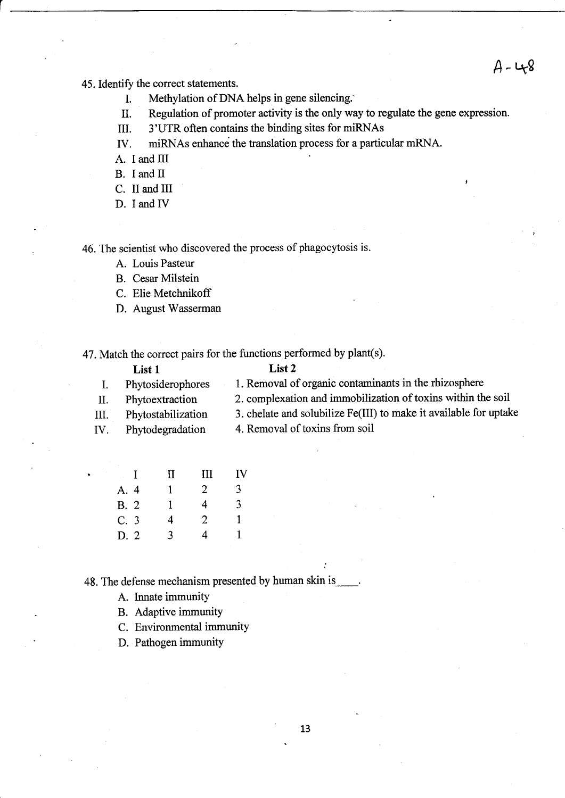45. Identify the correct statements.

- I. Methylation of DNA helps in gene silencing.''
- II. Regulation of promoter activity is the only way to regulate the gene expression.
- III. 3'UTR often contains the binding sites for miRNAs
- ry. miRNAs enhance the translation process for a particular mRNA.

A. I and III

B. I and II

- C. II and III
- D. I and IV

46. The scientist who discovered the process of phagocytosis is.

- A. Louis Pasteur
- B. Cesar Milstein
- C. Elie Metchnikoff
- D. August Wasserman

47. Match the correct pairs for the functions performed by plant(s).

|     | List 1             | List 2                                                            |
|-----|--------------------|-------------------------------------------------------------------|
|     | Phytosiderophores  | 1. Removal of organic contaminants in the rhizosphere             |
| II. | Phytoextraction    | 2. complexation and immobilization of toxins within the soil      |
| Ш.  | Phytostabilization | 3. chelate and solubilize Fe(III) to make it available for uptake |
| IV. | Phytodegradation   | 4. Removal of toxins from soil                                    |
|     |                    |                                                                   |

| IV<br>Ш             |
|---------------------|
| 3<br>$\overline{2}$ |
| 3<br>4              |
| $\overline{2}$<br>1 |
| 4<br>1              |
|                     |

48. The defense mechanism presented by human skin is

- A. Innate immunity
- B. Adaptive immunity
- C. Environmental immunity
- D. Pathogen immunity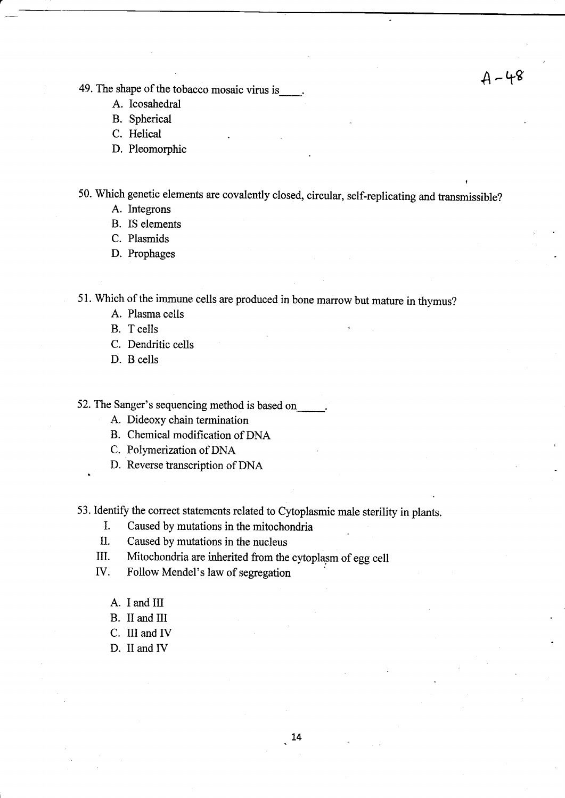49. The shape of the tobacco mosaic virus is  $A - 4^g$ 

- A. Icosahedral
- B. Spherical

C. Helical

D. Pleomorphic

50. Which genetic elements are covalently closed, circular, self-replicating and transmissible?

A. Integrons

B. IS elements

C. Plasmids

D. Prophages

51. Which of the immune cells are produced in bone marrow but mature in thymus?

A. Plasma cells

B. T cells

C. Dendritic cells

D. B cells

52. The Sanger's sequencing method is based on

A. Dideoxy chain termination

B. Chemical modification of DNA

C. Polymerization of DNA

D. Reverse transcription of DNA

53. Identify the correct statements related to Cytoplasmic male sterility in plants.

- I. Caused by mutations in the mitochondria
- II. Caused by mutations in the nueleus
- III. Mitochondria are inherited from the cytoplasm of egg cell
- IV. Follow Mendel's law of segregation
	- A. I and III
	- B. II and III
	- C. III and IV
	- D. II and IV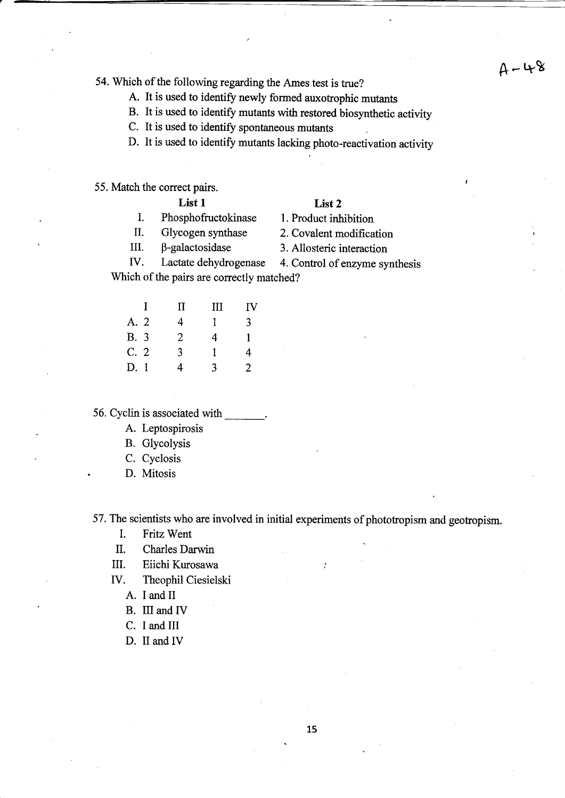54. Which of the following regarding the Ames test is true?  $A - 4$ 

A. It is used to identify newly formed auxotrophic mutants

B. It is used to identify mutants with restored biosynthetic activity

C. It is used to identify spontaneous mutants

D. It is used to identify mutants lacking photo-reactivation activity

55. Match the correct pairs.

### List 1 List 2

I. Phosphofructokinase 1. Product inhibition

II. Glycogen synthase 2. Covalent modification

III.  $\beta$ -galactosidase 3. Allosteric interaction

fV. Lactate dehydrogenase 4. Control of enzyme synthesis Which of the pairs are correctly matched?

 $\sim$   $\sim$   $\sim$ 

|             | -1 | $\mathbf{I}$ | Ш            | IV |
|-------------|----|--------------|--------------|----|
| A. 2        |    | 4            | Ŧ            | 3  |
| <b>B.</b> 3 |    | 2            | 4            | 1  |
| C.2         |    | 3            | $\mathbf{1}$ | 4  |
| D.1         |    | 4            | 3            | 2  |

56. Cyclin is associated with

- A. Leptospirosis
- B. Glycolysis
- C. Cyclosis
- D. Mitosis

57. The scientists who are involved in initial experiments of phototropism and geotropism.

- I. Fritz Went
- IL Charles Darwin
- III. Eiichi Kurosawa
- IV. Theophil Ciesielski
	- A. I and II
	- B. III and IV
	- C. I and III
	- D. II and IV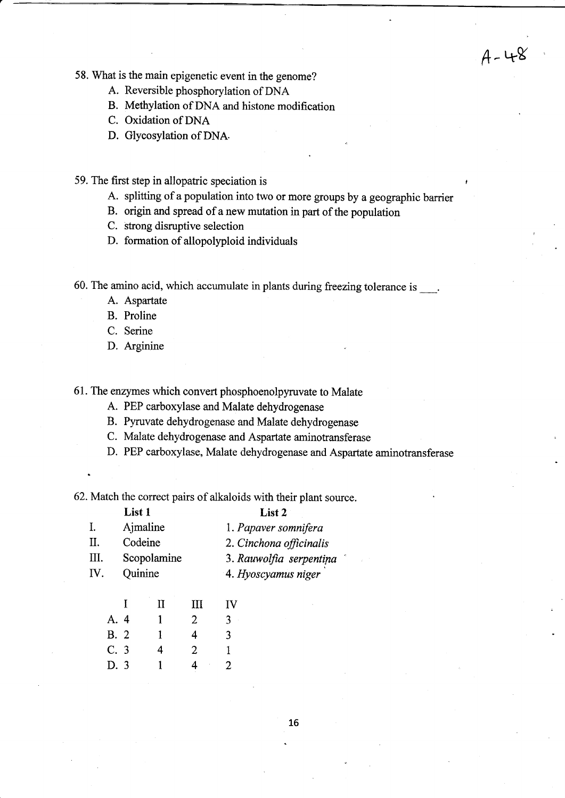$A - 48$ 

58. What is the main epigenetic event in the genome?

- A. Reversible phosphorylation of DNA
- B. Methylation of DNA and histone modification
- C. Oxidation of DNA
- D. Glycosylation of DNA.

59. The first step in allopatric speciation is <sup>r</sup>

- A. splitting of a population into two or more groups by a geographic barrier
- B. origin and spread of a new mutation in part of the population
- C. strong disruptive selection
- D. formation of allopolyploid individuals

60. The amino acid, which accumulate in plants during freezing tolerance is  $\qquad$ .

- A. Aspartate
- B. Proline
- C. Serine
- D. Arginine

61. The erzymes which convert phosphoenolpynrvate to Malate

- A. PEP carboxylase and Malate dehydrogenase
- B. Pynrvate dehydrogenase and Malate dehydrogenase
- C. Malate dehydrogenase and Aspartate aminotransferase
- D. PEP carboxylase, Malate dehydrogenase and Aspartate aminotransferase

62. Match the correct pairs of alkaloids with their plant source.

|     | List 1      |          |  | List 2                  |  |
|-----|-------------|----------|--|-------------------------|--|
| I.  |             | Ajmaline |  | 1. Papaver somnifera    |  |
| II. |             | Codeine  |  | 2. Cinchona officinalis |  |
| Ш.  | Scopolamine |          |  | 3. Rauwolfia serpentina |  |
| IV. | Quinine     |          |  | 4. Hyoscyamus niger     |  |
|     |             |          |  |                         |  |

|             | л.           | *** | 1 V |
|-------------|--------------|-----|-----|
| A. 4        | 1            | 2   | 3   |
| <b>B.</b> 2 | L            | 4   | 3   |
| C.3         | 4            | 2   | 1   |
| D. 3        | $\mathbf{1}$ | 4   | 2   |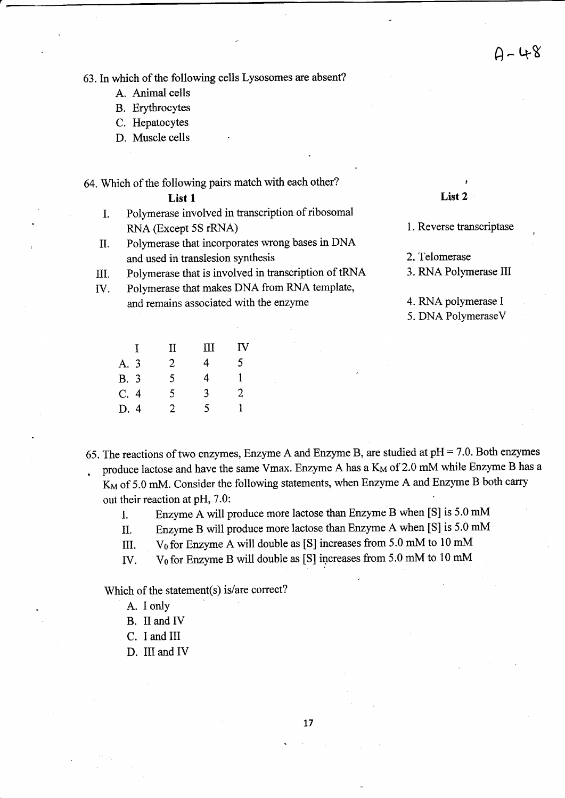,

63. In which of the following cells Lysosomes are absent?

- A. Animal cells
- B. Erythrocytes
- C. Hepatocytes
- D. Muscle cells

## 64. Which of the following pairs match with each other?<br>List 2 List 1 List 2

- 
- I. Polymerase involved in transcription of ribosomal RNA (Except 5S rRNA) 1. Reverse transcriptase
- II. Polymerase that incorporates wrong bases in DNA and used in translesion synthesis 2. Telomerase
- III. Polymerase that is involved in transcription of tRNA 3. RNA Polymerase III
- W. Polymerase that makes DNA from RNA template, and remains associated with the enzyme 4. RNA polymerase I

5. DNA PolymeraseV

|      | $\mathbf{I}$ | $\rm{II}$      | Ш | П              |
|------|--------------|----------------|---|----------------|
| A. 3 |              | $\overline{2}$ | 4 | 5              |
| B. 3 |              | 5              | 4 | 1              |
| C.4  |              | 5              | 3 | $\overline{2}$ |
| D. 4 |              | $\overline{2}$ | 5 | 1.             |

- 65. The reactions of two enzymes, Enzyme A and Enzyme B, are studied at  $pH = 7.0$ . Both enzymes produce lactose and have the same Vmax. Enzyme A has a K<sub>M</sub> of 2.0 mM while Enzyme B has a K<sub>M</sub> of 5.0 mM. Consider the following statements, when Enzyme A and Enzyme B both carry out their reaction at PH, 7.0:
	- I. Enzyme A will produce more lactose than Enzyme B when [S] is 5.0 mM
	- 11. Enzyme B will produce more lactose than Enzyme A when [S] is 5.0 mM
	- III. V<sub>0</sub> for Enzyme A will double as [S] increases from 5.0 mM to 10 mM
	- IV. V<sub>0</sub> for Enzyme B will double as [S] increases from 5.0 mM to 10 mM

Which of the statement(s) is/are correct?

- A. I only
- B. II and IV
- C. I and III
- D. III and IV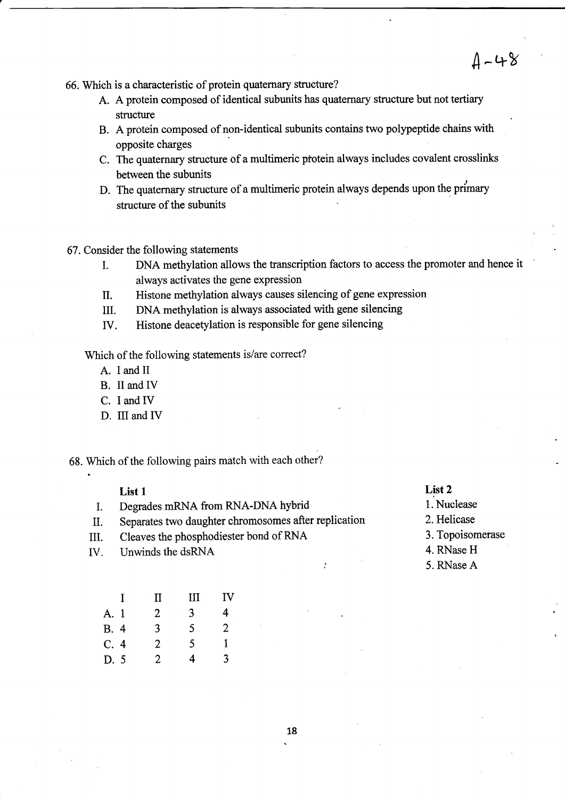$4 - 48$ 

66. Which is a characteristic of protein quaternary structure?

- A. A protein composed of identical subunits has quatemary structure but not tertiary structure
- B. A protein composed of non-identical subunits contains two polypeptide chains with opposite charges
- C. The quaternary structure of a multimeric pfotein always includes covalent crosslinks between the subunits
- D. The quaternary structure of a multimeric protein always depends upon the primary structure of the subunits
- 67. Consider the following statements
	- I. DNA methylation allows the transcription factors to access the promoter and hence it always activates the gene expression
	- I| Histone methylation always causes silencing of gene expression
	- III. DNA methylation is always associated with gene silencing
	- IV. Histone deacetylation is responsible for gene silencing

Which of the following statements is/are correct?

- A. I and II
- B. II and IV
- C. I and IV
- D. III and IV
- 68. Which of the following pairs match with each other?

- List 1<br>
I. Degrades mRNA from RNA-DNA hybrid 1. Nuclease<br>
I. Separates two daughter chromosomes after replication 2. Helicase
- II. Separates two daughter chromosomes after replication 2. Helicase<br>III. Cleaves the phosphodiester bond of RNA 3. Topoisomerase
- III. Cleaves the phosphodiester bond of RNA 3. Topoison<br>IV. Inwinds the dsRNA 4. RNase H
- IV. Unwinds the dsRNA

## $List 1$  List 2

- 
- 
- 
- 
- 5. RNase A

|      | $\mathbf{I}$ | Π | Ш              | ΙV |
|------|--------------|---|----------------|----|
| A. 1 |              | 2 | $\overline{3}$ | 4  |
| B. 4 |              | 3 | 5              | 2  |
| C.4  |              | 2 | 5              | 1  |
| D.5  |              | 2 | 4              | 3  |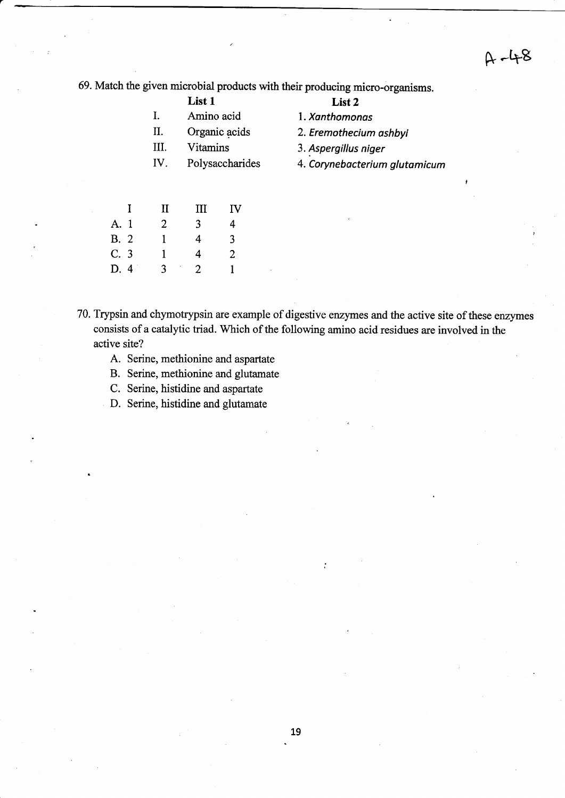$A - 48$ 

69. Match the given microbial products with their producing micro-organisms.

|      | List 1          | List 2                        |
|------|-----------------|-------------------------------|
| Ι.   | Amino acid      | 1. Xanthomonas                |
| Π.   | Organic acids   | 2. Eremothecium ashbyi        |
| III. | Vitamins        | 3. Aspergillus niger          |
| IV.  | Polysaccharides | 4. Corynebacterium glutamicum |
|      |                 |                               |

|      | -1 | П | Ш              | IV |
|------|----|---|----------------|----|
| A. 1 |    | 2 | 3              | 4  |
| B. 2 |    | 1 | 4              | 3  |
| C.3  |    | 1 | 4              | 2  |
| D. 4 |    | ٩ | $\mathfrak{D}$ | 1  |

70. Trypsin and chymotrypsin are example of digestive enzymes and the active site of these enzymes consists of a catalytic triad. Which of the following amino acid residues are involved in the active site?

- A. Serine, methionine and aspartate
- B. Serine, methionine and glutamate
- C. Serine, histidine and aspartate
- D. Serine, histidine and glutamate

 $\cdot$